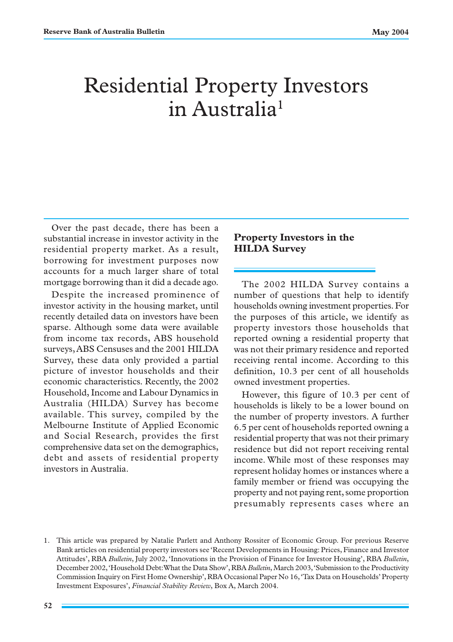# Residential Property Investors in Australia<sup>1</sup>

Over the past decade, there has been a substantial increase in investor activity in the residential property market. As a result, borrowing for investment purposes now accounts for a much larger share of total mortgage borrowing than it did a decade ago.

Despite the increased prominence of investor activity in the housing market, until recently detailed data on investors have been sparse. Although some data were available from income tax records, ABS household surveys, ABS Censuses and the 2001 HILDA Survey, these data only provided a partial picture of investor households and their economic characteristics. Recently, the 2002 Household, Income and Labour Dynamics in Australia (HILDA) Survey has become available. This survey, compiled by the Melbourne Institute of Applied Economic and Social Research, provides the first comprehensive data set on the demographics, debt and assets of residential property investors in Australia.

## **Property Investors in the HILDA Survey**

The 2002 HILDA Survey contains a number of questions that help to identify households owning investment properties. For the purposes of this article, we identify as property investors those households that reported owning a residential property that was not their primary residence and reported receiving rental income. According to this definition, 10.3 per cent of all households owned investment properties.

However, this figure of 10.3 per cent of households is likely to be a lower bound on the number of property investors. A further 6.5 per cent of households reported owning a residential property that was not their primary residence but did not report receiving rental income. While most of these responses may represent holiday homes or instances where a family member or friend was occupying the property and not paying rent, some proportion presumably represents cases where an

<sup>1.</sup> This article was prepared by Natalie Parlett and Anthony Rossiter of Economic Group. For previous Reserve Bank articles on residential property investors see 'Recent Developments in Housing: Prices, Finance and Investor Attitudes', RBA *Bulletin*, July 2002, 'Innovations in the Provision of Finance for Investor Housing', RBA *Bulletin*, December 2002, 'Household Debt: What the Data Show', RBA *Bulletin*, March 2003, 'Submission to the Productivity Commission Inquiry on First Home Ownership', RBA Occasional Paper No 16, 'Tax Data on Households' Property Investment Exposures', *Financial Stability Review*, Box A, March 2004.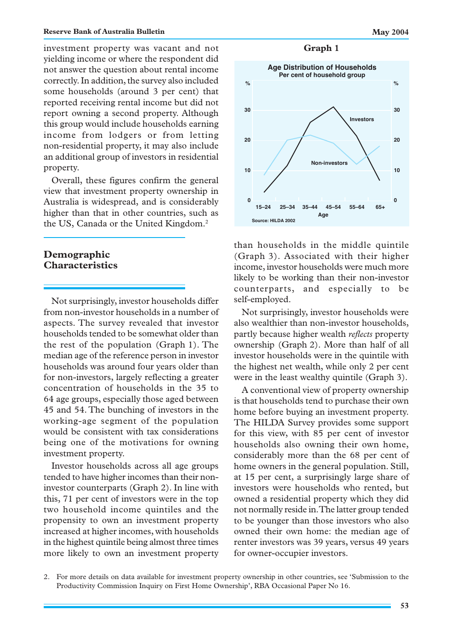investment property was vacant and not yielding income or where the respondent did not answer the question about rental income correctly. In addition, the survey also included some households (around 3 per cent) that reported receiving rental income but did not report owning a second property. Although this group would include households earning income from lodgers or from letting non-residential property, it may also include an additional group of investors in residential property.

Overall, these figures confirm the general view that investment property ownership in Australia is widespread, and is considerably higher than that in other countries, such as the US, Canada or the United Kingdom.2

### **Demographic Characteristics**

Not surprisingly, investor households differ from non-investor households in a number of aspects. The survey revealed that investor households tended to be somewhat older than the rest of the population (Graph 1). The median age of the reference person in investor households was around four years older than for non-investors, largely reflecting a greater concentration of households in the 35 to 64 age groups, especially those aged between 45 and 54. The bunching of investors in the working-age segment of the population would be consistent with tax considerations being one of the motivations for owning investment property.

Investor households across all age groups tended to have higher incomes than their noninvestor counterparts (Graph 2). In line with this, 71 per cent of investors were in the top two household income quintiles and the propensity to own an investment property increased at higher incomes, with households in the highest quintile being almost three times more likely to own an investment property

#### **Graph 1**



than households in the middle quintile (Graph 3). Associated with their higher income, investor households were much more likely to be working than their non-investor counterparts, and especially to be self-employed.

Not surprisingly, investor households were also wealthier than non-investor households, partly because higher wealth *reflects* property ownership (Graph 2). More than half of all investor households were in the quintile with the highest net wealth, while only 2 per cent were in the least wealthy quintile (Graph 3).

A conventional view of property ownership is that households tend to purchase their own home before buying an investment property. The HILDA Survey provides some support for this view, with 85 per cent of investor households also owning their own home, considerably more than the 68 per cent of home owners in the general population. Still, at 15 per cent, a surprisingly large share of investors were households who rented, but owned a residential property which they did not normally reside in. The latter group tended to be younger than those investors who also owned their own home: the median age of renter investors was 39 years, versus 49 years for owner-occupier investors.

<sup>2.</sup> For more details on data available for investment property ownership in other countries, see 'Submission to the Productivity Commission Inquiry on First Home Ownership', RBA Occasional Paper No 16.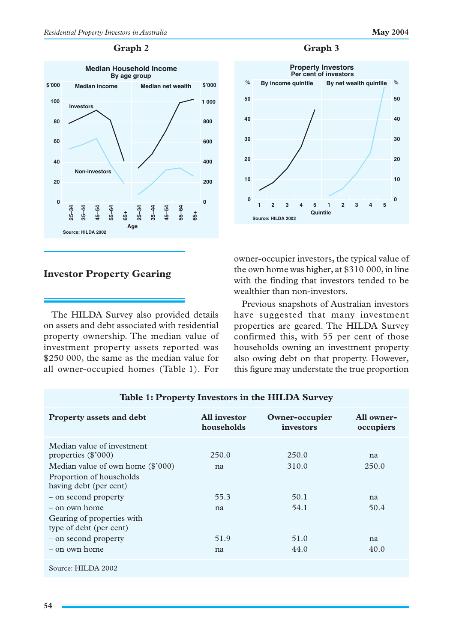#### **Graph 2**



# **Investor Property Gearing**

The HILDA Survey also provided details on assets and debt associated with residential property ownership. The median value of investment property assets reported was \$250 000, the same as the median value for all owner-occupied homes (Table 1). For

# **Graph 3**



owner-occupier investors, the typical value of the own home was higher, at \$310 000, in line with the finding that investors tended to be wealthier than non-investors.

Previous snapshots of Australian investors have suggested that many investment properties are geared. The HILDA Survey confirmed this, with 55 per cent of those households owning an investment property also owing debt on that property. However, this figure may understate the true proportion

| Table 1: Property Investors in the HILDA Survey                                                                                                                                                                                                                                                 |                                         |                                                |                                         |  |  |  |  |
|-------------------------------------------------------------------------------------------------------------------------------------------------------------------------------------------------------------------------------------------------------------------------------------------------|-----------------------------------------|------------------------------------------------|-----------------------------------------|--|--|--|--|
| <b>Property assets and debt</b>                                                                                                                                                                                                                                                                 | All investor<br>households              | Owner-occupier<br>investors                    | All owner-<br>occupiers                 |  |  |  |  |
| Median value of investment<br>properties $(\$'000)$<br>Median value of own home $(\$'000)$<br>Proportion of households<br>having debt (per cent)<br>- on second property<br>$-$ on own home<br>Gearing of properties with<br>type of debt (per cent)<br>- on second property<br>$-$ on own home | 250.0<br>na<br>55.3<br>na<br>51.9<br>na | 250.0<br>310.0<br>50.1<br>54.1<br>51.0<br>44.0 | na<br>250.0<br>na<br>50.4<br>na<br>40.0 |  |  |  |  |
| Source: HILDA 2002                                                                                                                                                                                                                                                                              |                                         |                                                |                                         |  |  |  |  |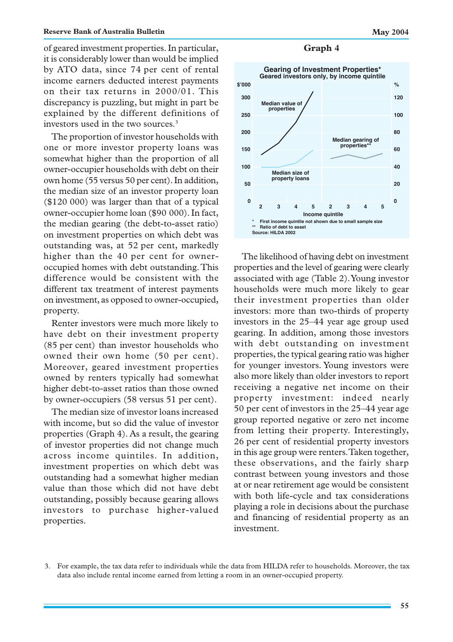of geared investment properties. In particular, it is considerably lower than would be implied by ATO data, since 74 per cent of rental income earners deducted interest payments on their tax returns in 2000/01. This discrepancy is puzzling, but might in part be explained by the different definitions of investors used in the two sources.3

The proportion of investor households with one or more investor property loans was somewhat higher than the proportion of all owner-occupier households with debt on their own home (55 versus 50 per cent). In addition, the median size of an investor property loan (\$120 000) was larger than that of a typical owner-occupier home loan (\$90 000). In fact, the median gearing (the debt-to-asset ratio) on investment properties on which debt was outstanding was, at 52 per cent, markedly higher than the 40 per cent for owneroccupied homes with debt outstanding. This difference would be consistent with the different tax treatment of interest payments on investment, as opposed to owner-occupied, property.

Renter investors were much more likely to have debt on their investment property (85 per cent) than investor households who owned their own home (50 per cent). Moreover, geared investment properties owned by renters typically had somewhat higher debt-to-asset ratios than those owned by owner-occupiers (58 versus 51 per cent).

The median size of investor loans increased with income, but so did the value of investor properties (Graph 4). As a result, the gearing of investor properties did not change much across income quintiles. In addition, investment properties on which debt was outstanding had a somewhat higher median value than those which did not have debt outstanding, possibly because gearing allows investors to purchase higher-valued properties.

**Graph 4**



The likelihood of having debt on investment properties and the level of gearing were clearly associated with age (Table 2). Young investor households were much more likely to gear their investment properties than older investors: more than two-thirds of property investors in the 25–44 year age group used gearing. In addition, among those investors with debt outstanding on investment properties, the typical gearing ratio was higher for younger investors. Young investors were also more likely than older investors to report receiving a negative net income on their property investment: indeed nearly 50 per cent of investors in the 25–44 year age group reported negative or zero net income from letting their property. Interestingly, 26 per cent of residential property investors in this age group were renters. Taken together, these observations, and the fairly sharp contrast between young investors and those at or near retirement age would be consistent with both life-cycle and tax considerations playing a role in decisions about the purchase and financing of residential property as an investment.

<sup>3.</sup> For example, the tax data refer to individuals while the data from HILDA refer to households. Moreover, the tax data also include rental income earned from letting a room in an owner-occupied property.